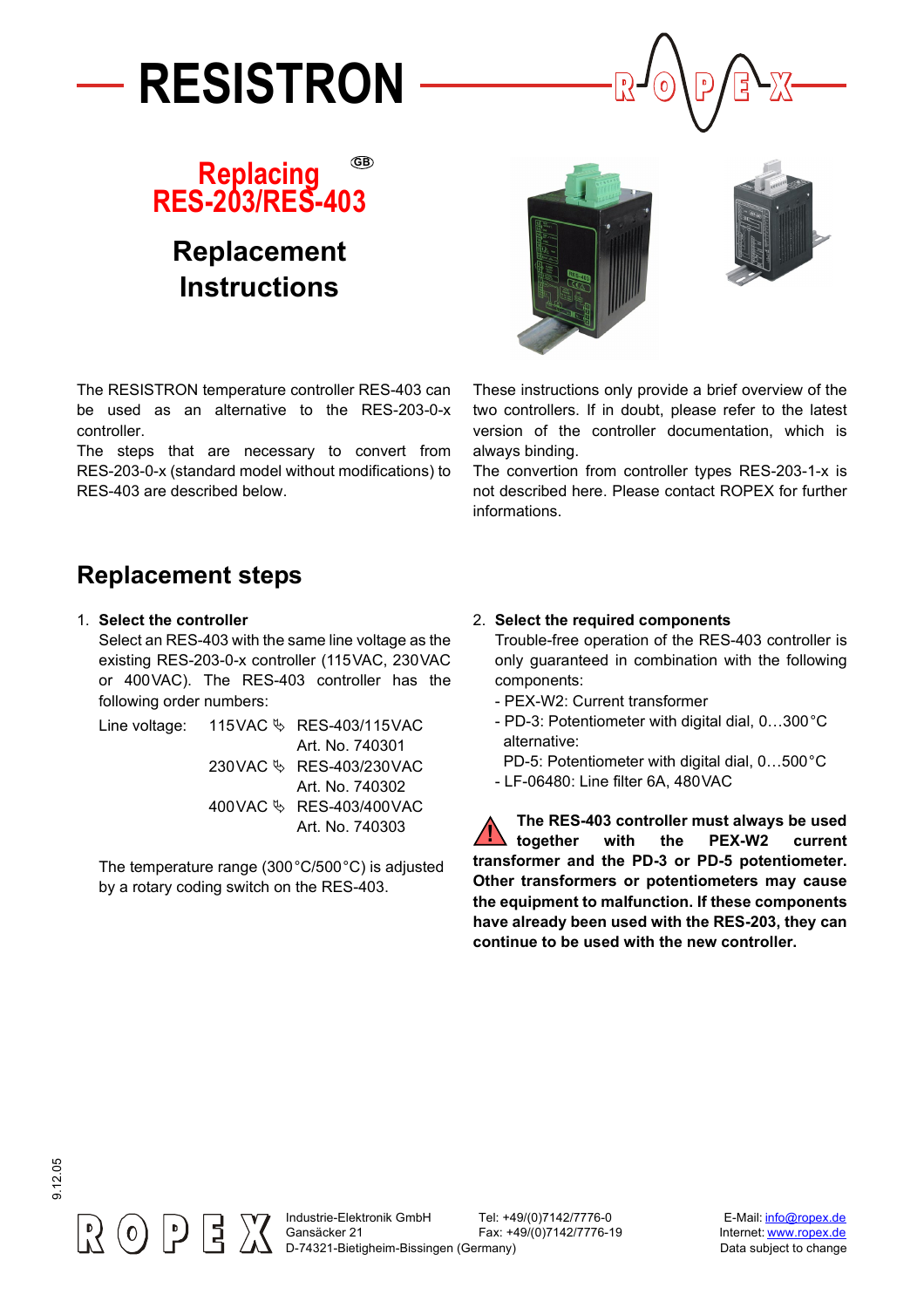





# **Replacement Instructions**

The RESISTRON temperature controller RES-403 can be used as an alternative to the RES-203-0-x controller.

The steps that are necessary to convert from RES-203-0-x (standard model without modifications) to RES-403 are described below.

These instructions only provide a brief overview of the two controllers. If in doubt, please refer to the latest version of the controller documentation, which is always binding.

The convertion from controller types RES-203-1-x is not described here. Please contact ROPEX for further informations.

# **Replacement steps**

1. **Select the controller**

Select an RES-403 with the same line voltage as the existing RES-203-0-x controller (115VAC, 230VAC or 400VAC). The RES-403 controller has the following order numbers:

Line voltage:  $115$ VAC  $\&$  RES-403/115VAC Art. No. 740301 230 VAC <>>
RES-403/230 VAC Art. No. 740302 400 VAC & RES-403/400 VAC Art. No. 740303

The temperature range (300°C/500°C) is adjusted by a rotary coding switch on the RES-403.

### 2. **Select the required components**

Trouble-free operation of the RES-403 controller is only guaranteed in combination with the following components:

- PEX-W2: Current transformer
- PD-3: Potentiometer with digital dial, 0…300°C alternative:
- PD-5: Potentiometer with digital dial, 0…500°C
- LF-06480: Line filter 6A, 480VAC

**The RES-403 controller must always be used together with the PEX-W2 current transformer and the PD-3 or PD-5 potentiometer. Other transformers or potentiometers may cause the equipment to malfunction. If these components have already been used with the RES-203, they can continue to be used with the new controller. !**

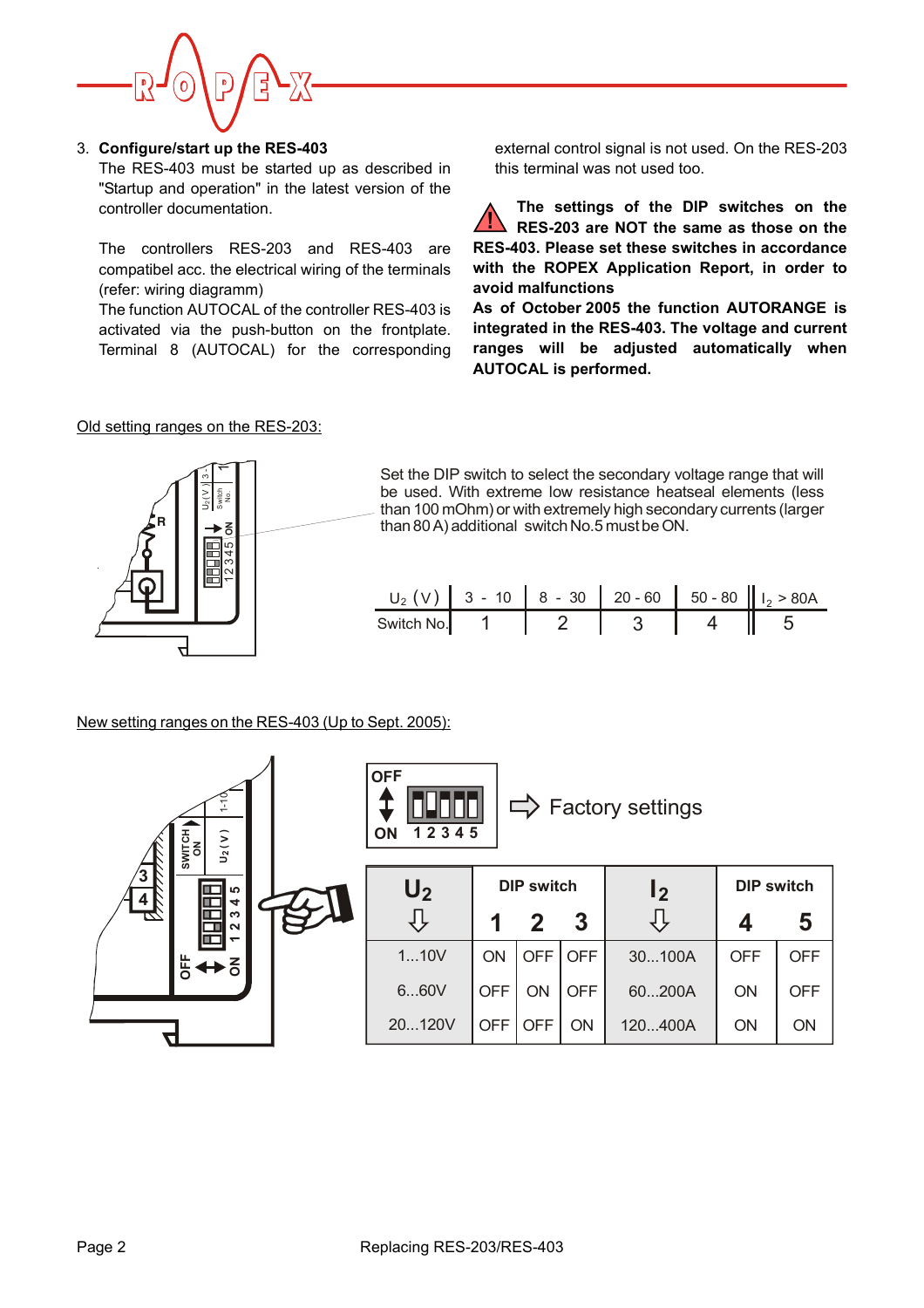

#### 3. **Configure/start up the RES-403**

The RES-403 must be started up as described in "Startup and operation" in the latest version of the controller documentation.

The controllers RES-203 and RES-403 are compatibel acc. the electrical wiring of the terminals (refer: wiring diagramm)

The function AUTOCAL of the controller RES-403 is activated via the push-button on the frontplate. Terminal 8 (AUTOCAL) for the corresponding

external control signal is not used. On the RES-203 this terminal was not used too.

**The settings of the DIP switches on the RES-203 are NOT the same as those on the RES-403. Please set these switches in accordance with the ROPEX Application Report, in order to avoid malfunctions !**

**As of October 2005 the function AUTORANGE is integrated in the RES-403. The voltage and current ranges will be adjusted automatically when AUTOCAL is performed.**

#### Old setting ranges on the RES-203:



Set the DIP switch to select the secondary voltage range that will be used. With extreme low resistance heatseal elements (less than 100 mOhm) or with extremely high secondary currents (larger than 80 A) additional switch No.5 must be ON.

| $U_2$ (V) 3 - 10 8 - 30 20 - 60 50 - 80 $I_2$ > 80 A |  |  |  |
|------------------------------------------------------|--|--|--|
| Switch No. 1                                         |  |  |  |

New setting ranges on the RES-403 (Up to Sept. 2005):

| $U_2(V)$<br>SWITCH<br>ON                |  | <b>OFF</b><br>$\Rightarrow$ Factory settings<br>12345<br><b>ON</b> |                   |            |                |                   |            |            |  |
|-----------------------------------------|--|--------------------------------------------------------------------|-------------------|------------|----------------|-------------------|------------|------------|--|
| ΄3<br>ယ                                 |  | U <sub>2</sub>                                                     | <b>DIP switch</b> |            | $\mathsf{I}_2$ | <b>DIP switch</b> |            |            |  |
| $\frac{4}{5}$<br>4<br>S<br>$\mathbf{N}$ |  |                                                                    | 1                 | 2          | 3              |                   |            | 5          |  |
| $\overline{5}$<br>ō                     |  | 110V                                                               | ON                | <b>OFF</b> | <b>OFF</b>     | 30100A            | <b>OFF</b> | <b>OFF</b> |  |
|                                         |  | 660V                                                               | <b>OFF</b>        | ON         | <b>OFF</b>     | 60200A            | ON         | <b>OFF</b> |  |
|                                         |  | 20120V                                                             | <b>OFF</b>        | <b>OFF</b> | ON             | 120400A           | ON         | ON         |  |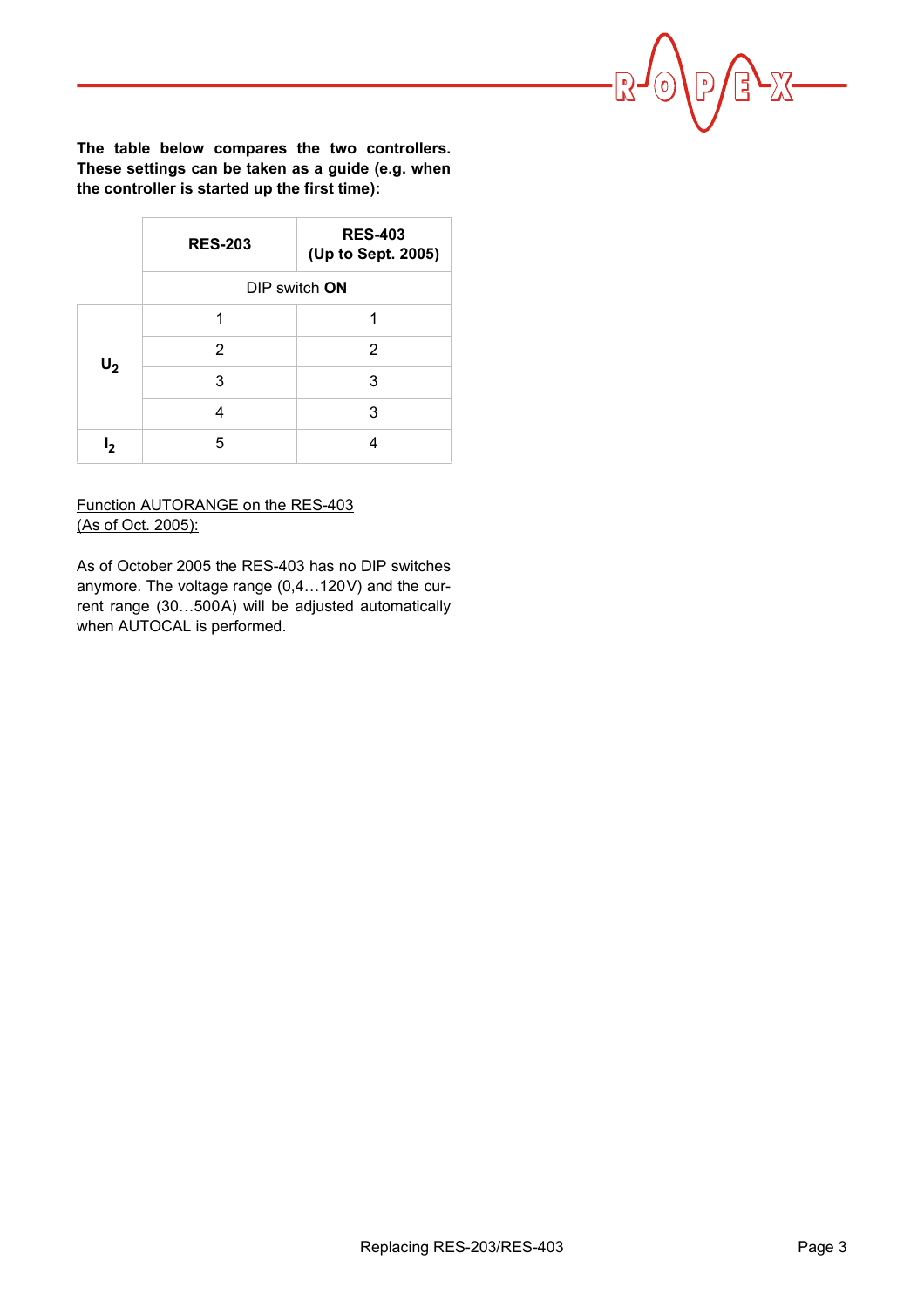**The table below compares the two controllers. These settings can be taken as a guide (e.g. when the controller is started up the first time):**

|       | <b>RES-203</b> | <b>RES-403</b><br>(Up to Sept. 2005) |  |  |  |
|-------|----------------|--------------------------------------|--|--|--|
|       | DIP switch ON  |                                      |  |  |  |
| $U_2$ | 1              | 1                                    |  |  |  |
|       | 2              | 2                                    |  |  |  |
|       | 3              | 3                                    |  |  |  |
|       | 4              | 3                                    |  |  |  |
| פו    | 5              |                                      |  |  |  |

## Function AUTORANGE on the RES-403 (As of Oct. 2005):

As of October 2005 the RES-403 has no DIP switches anymore. The voltage range (0,4…120V) and the current range (30…500A) will be adjusted automatically when AUTOCAL is performed.

 $-\sum$